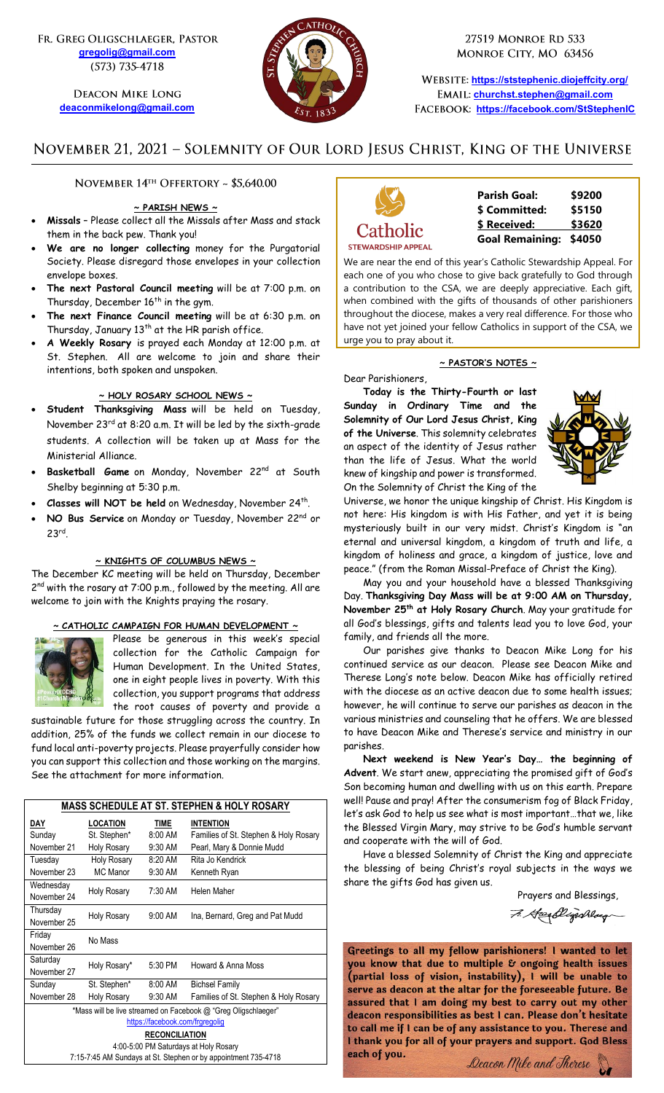FR. GREG OLIGSCHLAEGER, PASTOR **[gregolig@gmail.com](mailto:gregolig@gmail.com)** (573) 735-4718

> **DEACON MIKE LONG [deaconmikelong@gmail.com](mailto:deaconmikelong@gmail.com)**



27519 MONROE RD 533 MONROE CITY, MO 63456

**<https://ststephenic.diojeffcity.org/> [churchst.stephen@gmail.com](mailto:churchst.stephen@gmail.com) <https://facebook.com/StStephenIC>**

# NOVEMBER 21, 2021 - SOLEMNITY OF OUR LORD JESUS CHRIST, KING OF THE UNIVERSE

NOVEMBER 14TH OFFERTORY ~ \$5,640.00

## **~ PARISH NEWS ~**

- **Missals** Please collect all the Missals after Mass and stack them in the back pew. Thank you!
- **We are no longer collecting** money for the Purgatorial Society. Please disregard those envelopes in your collection envelope boxes.
- **The next Pastoral Council meeting** will be at 7:00 p.m. on Thursday, December 16<sup>th</sup> in the gym.
- **The next Finance Council meeting** will be at 6:30 p.m. on Thursday, January 13<sup>th</sup> at the HR parish office.
- **A Weekly Rosary** is prayed each Monday at 12:00 p.m. at St. Stephen. All are welcome to join and share their intentions, both spoken and unspoken.

## **~ HOLY ROSARY SCHOOL NEWS ~**

- **Student Thanksgiving Mass** will be held on Tuesday, November 23rd at 8:20 a.m. It will be led by the sixth-grade students. A collection will be taken up at Mass for the Ministerial Alliance.
- **Basketball Game** on Monday, November 22nd at South Shelby beginning at 5:30 p.m.
- **Classes will NOT be held** on Wednesday, November 24<sup>th</sup>.
- **NO Bus Service** on Monday or Tuesday, November 22nd or 23rd .

#### **~ KNIGHTS OF COLUMBUS NEWS ~**

The December KC meeting will be held on Thursday, December 2<sup>nd</sup> with the rosary at 7:00 p.m., followed by the meeting. All are welcome to join with the Knights praying the rosary.

## **~ CATHOLIC CAMPAIGN FOR HUMAN DEVELOPMENT ~**



Please be generous in this week's special collection for the Catholic Campaign for Human Development. In the United States, one in eight people lives in poverty. With this collection, you support programs that address the root causes of poverty and provide a

sustainable future for those struggling across the country. In addition, 25% of the funds we collect remain in our diocese to fund local anti-poverty projects. Please prayerfully consider how you can support this collection and those working on the margins. See the attachment for more information.

| <b>MASS SCHEDULE AT ST. STEPHEN &amp; HOLY ROSARY</b>          |                    |             |                                       |  |  |  |
|----------------------------------------------------------------|--------------------|-------------|---------------------------------------|--|--|--|
| DAY                                                            | <b>LOCATION</b>    | <b>TIME</b> | <b>INTENTION</b>                      |  |  |  |
| Sunday                                                         | St. Stephen*       | 8:00 AM     | Families of St. Stephen & Holy Rosary |  |  |  |
| November 21                                                    | <b>Holy Rosary</b> | $9:30$ AM   | Pearl, Mary & Donnie Mudd             |  |  |  |
| Tuesday                                                        | Holy Rosary        | 8:20 AM     | Rita Jo Kendrick                      |  |  |  |
| November 23                                                    | MC Manor           | 9:30 AM     | Kenneth Ryan                          |  |  |  |
| Wednesday                                                      | <b>Holy Rosary</b> | 7:30 AM     | Helen Maher                           |  |  |  |
| November 24                                                    |                    |             |                                       |  |  |  |
| Thursday                                                       | <b>Holy Rosary</b> | 9:00 AM     | Ina, Bernard, Greg and Pat Mudd       |  |  |  |
| November 25                                                    |                    |             |                                       |  |  |  |
| Friday                                                         | No Mass            |             |                                       |  |  |  |
| November 26                                                    |                    |             |                                       |  |  |  |
| Saturday                                                       | Holy Rosary*       | 5:30 PM     | Howard & Anna Moss                    |  |  |  |
| November 27                                                    |                    |             |                                       |  |  |  |
| Sunday                                                         | St. Stephen*       | 8:00 AM     | <b>Bichsel Family</b>                 |  |  |  |
| November 28                                                    | <b>Holy Rosary</b> | 9:30 AM     | Families of St. Stephen & Holy Rosary |  |  |  |
| *Mass will be live streamed on Facebook @ "Greg Oligschlaeger" |                    |             |                                       |  |  |  |
| https://facebook.com/frgregolig                                |                    |             |                                       |  |  |  |
| <b>RECONCILIATION</b>                                          |                    |             |                                       |  |  |  |
| 4:00-5:00 PM Saturdays at Holy Rosary                          |                    |             |                                       |  |  |  |
| 7:15-7:45 AM Sundays at St. Stephen or by appointment 735-4718 |                    |             |                                       |  |  |  |



| <b>Parish Goal:</b>    | \$9200 |
|------------------------|--------|
| \$ Committed:          | \$5150 |
| \$ Received:           | \$3620 |
| <b>Goal Remaining:</b> | \$4050 |

We are near the end of this year's Catholic Stewardship Appeal. For each one of you who chose to give back gratefully to God through a contribution to the CSA, we are deeply appreciative. Each gift, when combined with the gifts of thousands of other parishioners throughout the diocese, makes a very real difference. For those who have not yet joined your fellow Catholics in support of the CSA, we urge you to pray about it.

### **~ PASTOR'S NOTES ~**

Dear Parishioners, **Today is the Thirty-Fourth or last Sunday in Ordinary Time and the Solemnity of Our Lord Jesus Christ, King of the Universe**. This solemnity celebrates an aspect of the identity of Jesus rather than the life of Jesus. What the world knew of kingship and power is transformed. On the Solemnity of Christ the King of the



Universe, we honor the unique kingship of Christ. His Kingdom is not here: His kingdom is with His Father, and yet it is being mysteriously built in our very midst. Christ's Kingdom is "an eternal and universal kingdom, a kingdom of truth and life, a kingdom of holiness and grace, a kingdom of justice, love and peace." (from the Roman Missal-Preface of Christ the King).

May you and your household have a blessed Thanksgiving Day. **Thanksgiving Day Mass will be at 9:00 AM on Thursday, November 25th at Holy Rosary Church**. May your gratitude for all God's blessings, gifts and talents lead you to love God, your family, and friends all the more.

Our parishes give thanks to Deacon Mike Long for his continued service as our deacon. Please see Deacon Mike and Therese Long's note below. Deacon Mike has officially retired with the diocese as an active deacon due to some health issues; however, he will continue to serve our parishes as deacon in the various ministries and counseling that he offers. We are blessed to have Deacon Mike and Therese's service and ministry in our parishes.

**Next weekend is New Year's Day… the beginning of Advent**. We start anew, appreciating the promised gift of God's Son becoming human and dwelling with us on this earth. Prepare well! Pause and pray! After the consumerism fog of Black Friday, let's ask God to help us see what is most important…that we, like the Blessed Virgin Mary, may strive to be God's humble servant and cooperate with the will of God.

Have a blessed Solemnity of Christ the King and appreciate the blessing of being Christ's royal subjects in the ways we share the gifts God has given us.

Prayers and Blessings,

7. Hardlingshlag

Greetings to all my fellow parishioners! I wanted to let you know that due to multiple & ongoing health issues<br>(partial loss of vision, instability), I will be unable to serve as deacon at the altar for the foreseeable future. Be assured that I am doing my best to carry out my other deacon responsibilities as best I can. Please don't hesitate to call me if I can be of any assistance to you. Therese and I thank you for all of your prayers and support. God Bless each of you.